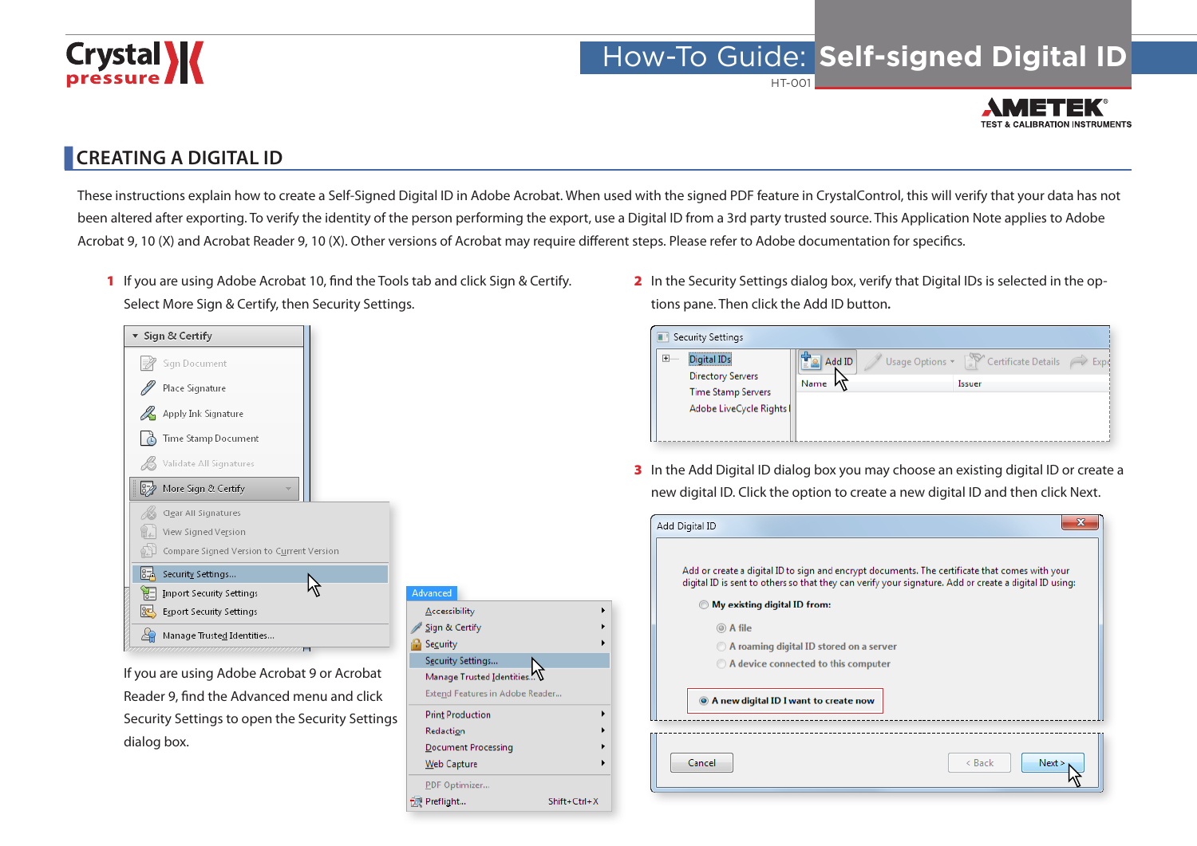# **Crystal**

### How-To Guide: **Self-signed Digital ID**

HT-001



#### **CREATING A DIGITAL ID**

These instructions explain how to create a Self-Signed Digital ID in Adobe Acrobat. When used with the signed PDF feature in CrystalControl, this will verify that your data has not been altered after exporting. To verify the identity of the person performing the export, use a Digital ID from a 3rd party trusted source. This Application Note applies to Adobe Acrobat 9, 10 (X) and Acrobat Reader 9, 10 (X). Other versions of Acrobat may require different steps. Please refer to Adobe documentation for specifics.

1 If you are using Adobe Acrobat 10, find the Tools tab and click Sign & Certify. Select More Sign & Certify, then Security Settings.



If you are using Adobe Acrobat 9 or Acrobat Reader 9, find the Advanced menu and click Security Settings to open the Security Settings dialog box.

| Advanced                        |              |  |
|---------------------------------|--------------|--|
| Accessibility                   |              |  |
| Sign & Certify                  |              |  |
| Security                        |              |  |
| Security Settings               |              |  |
| Manage Trusted Identities       |              |  |
| Extend Features in Adobe Reader |              |  |
| <b>Print Production</b>         |              |  |
| Redaction                       |              |  |
| <b>Document Processing</b>      |              |  |
| Web Capture                     |              |  |
| PDF Optimizer                   |              |  |
| Preflight                       | Shift+Ctrl+X |  |

2 In the Security Settings dialog box, verify that Digital IDs is selected in the options pane. Then click the Add ID button*.*

| Security Settings                                                                                                                                 |                |                                                                       |      |
|---------------------------------------------------------------------------------------------------------------------------------------------------|----------------|-----------------------------------------------------------------------|------|
| ,,,,,,,,,,,,,,,,,,,,,,,,,,,,,<br>$\overline{+}$<br>Digital IDs<br><b>Directory Servers</b><br><b>Time Stamp Servers</b><br>Adobe LiveCycle Rights | Add ID<br>Name | Usage Options $\sim$ $\frac{1000}{100}$ Certificate Details<br>Issuer | Expc |

3 In the Add Digital ID dialog box you may choose an existing digital ID or create a new digital ID. Click the option to create a new digital ID and then click Next.

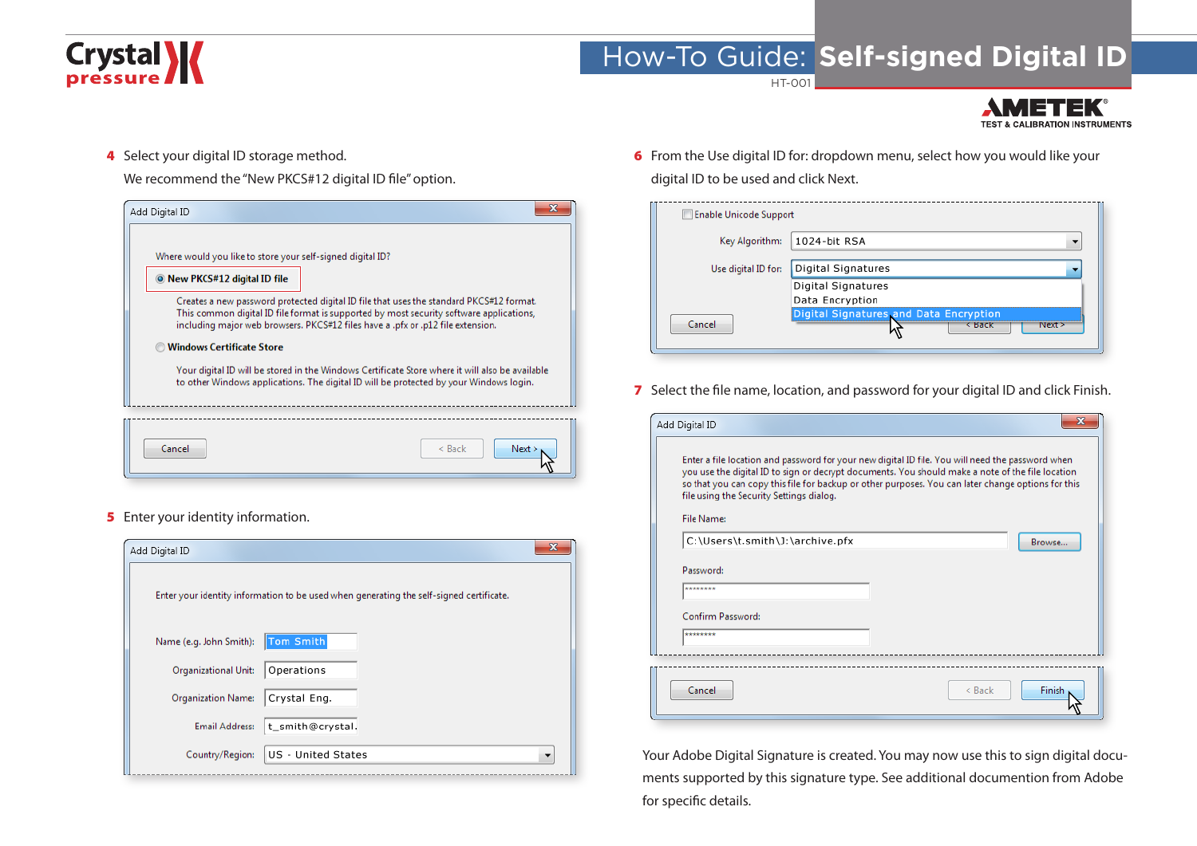## **Crystal >>>>>>>>**

### How-To Guide: **Self-signed Digital ID**

HT-001



4 Select your digital ID storage method.

We recommend the "New PKCS#12 digital ID file" option.



**5** Enter your identity information.

| Add Digital ID              |                                                                                         |  |
|-----------------------------|-----------------------------------------------------------------------------------------|--|
|                             | Enter your identity information to be used when generating the self-signed certificate. |  |
| Name (e.g. John Smith):     | Tom Smith                                                                               |  |
| <b>Organizational Unit:</b> | Operations                                                                              |  |
| <b>Organization Name:</b>   | Crystal Eng.                                                                            |  |
| <b>Email Address:</b>       | t_smith@crystal.                                                                        |  |
| Country/Region:             | US - United States                                                                      |  |

6 From the Use digital ID for: dropdown menu, select how you would like your digital ID to be used and click Next.

| <b>Enable Unicode Support</b> |                                                            |
|-------------------------------|------------------------------------------------------------|
| Key Algorithm:                | 1024-bit RSA                                               |
| Use digital ID for:           | Digital Signatures                                         |
|                               | Digital Signatures<br>Data Encryption                      |
| Cancel                        | Digital Signatures and Data Encryption<br>Next ><br>< Back |

7 Select the file name, location, and password for your digital ID and click Finish.

| Add Digital ID                                                | х                                                                                                                                                                                                                                                                                                          |
|---------------------------------------------------------------|------------------------------------------------------------------------------------------------------------------------------------------------------------------------------------------------------------------------------------------------------------------------------------------------------------|
| file using the Security Settings dialog.<br><b>File Name:</b> | Enter a file location and password for your new digital ID file. You will need the password when<br>you use the digital ID to sign or decrypt documents. You should make a note of the file location<br>so that you can copy this file for backup or other purposes. You can later change options for this |
| C:\Users\t.smith\J:\archive.pfx<br>Password:<br>********      | Browse                                                                                                                                                                                                                                                                                                     |
| Confirm Password:<br>********                                 |                                                                                                                                                                                                                                                                                                            |
| Cancel                                                        | Finish<br>$<$ Back                                                                                                                                                                                                                                                                                         |

Your Adobe Digital Signature is created. You may now use this to sign digital documents supported by this signature type. See additional documention from Adobe for specific details.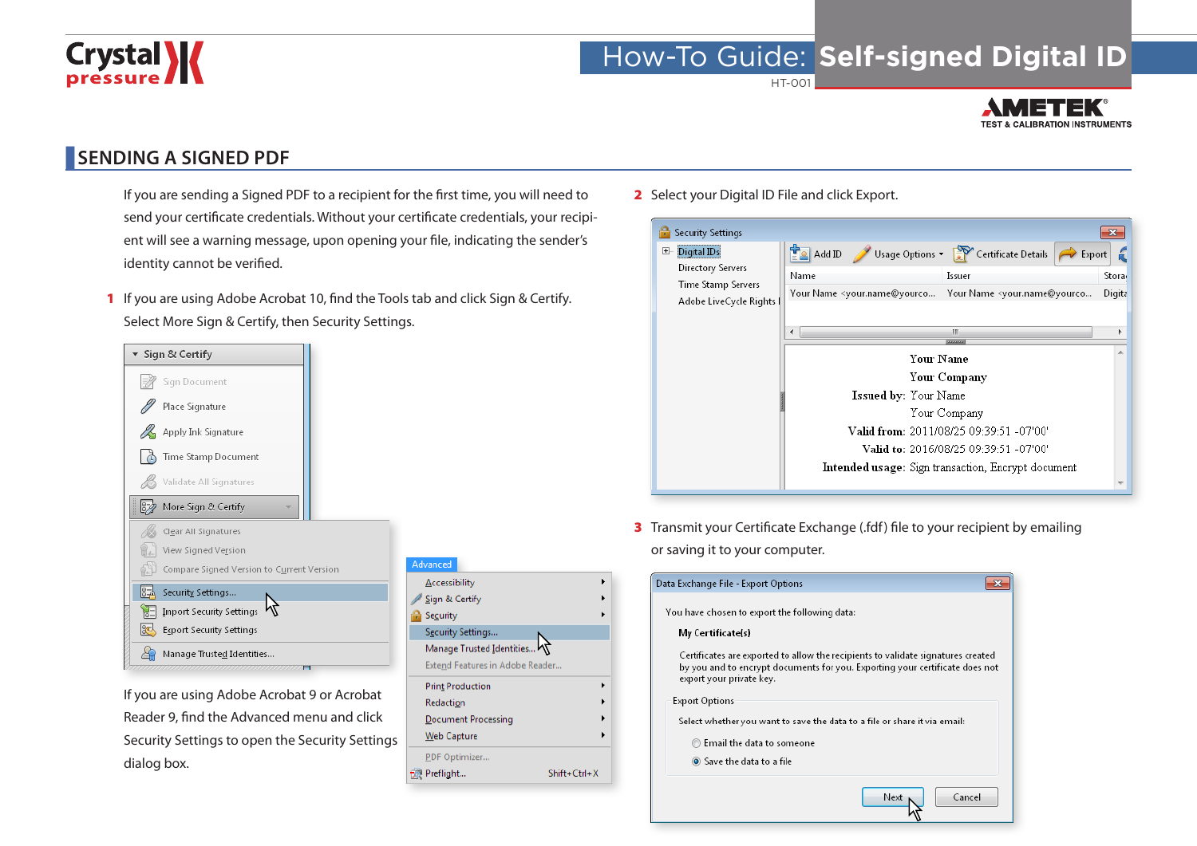# Crystal **X**

### How-To Guide: **Self-signed Digital ID**

HT-001



#### **SENDING A SIGNED PDF**

- If you are sending a Signed PDF to a recipient for the first time, you will need to send your certificate credentials. Without your certificate credentials, your recipient will see a warning message, upon opening your file, indicating the sender's identity cannot be verified.
- 1 If you are using Adobe Acrobat 10, find the Tools tab and click Sign & Certify. Select More Sign & Certify, then Security Settings.



If you are using Adobe Acrobat 9 or Acrobat Reader 9, find the Advanced menu and click Security Settings to open the Security Settings dialog box.

| Advanced                        |                    |
|---------------------------------|--------------------|
| <b>Accessibility</b>            |                    |
| Sign & Certify                  |                    |
| Security                        |                    |
| Security Settings               |                    |
| Manage Trusted Identities       |                    |
| Extend Features in Adobe Reader |                    |
| <b>Print Production</b>         |                    |
|                                 |                    |
| <b>Redaction</b>                |                    |
| Document Processing             |                    |
| <b>Web Capture</b>              |                    |
| PDF Optimizer                   |                    |
| Preflight                       | $Shift + Crit + X$ |

2 Select your Digital ID File and click Export.

| Security Settings                                                                         |                                                                                                                                                                                                                                                                                                                                                                                                                                                                                        | ×                            |
|-------------------------------------------------------------------------------------------|----------------------------------------------------------------------------------------------------------------------------------------------------------------------------------------------------------------------------------------------------------------------------------------------------------------------------------------------------------------------------------------------------------------------------------------------------------------------------------------|------------------------------|
| Digital IDs<br>$H^-$<br>Directory Servers<br>Time Stamp Servers<br>Adobe LiveCycle Rights | Usage Options $\sqrt{2}$ Certificate Details<br>$\left  \frac{1}{2} \right $ Add ID<br>$\Rightarrow$ Export<br>Name<br>Issuer<br>Your Name <your.name@yourco <your.name@yourco<br="" name="" your="">Ш<br/>∢<br/>3333333<br/><b>Your Name</b><br/>Your Company<br/><b>Issued by:</b> Your Name<br/>Your Company<br/>Valid from: 2011/08/25 09:39:51 -07'00'<br/>Valid to: 2016/08/25 09:39:51 -07'00'<br/><b>Intended usage:</b> Sign transaction, Encrypt document</your.name@yourco> | Stora <sub>'</sub><br>Digita |
|                                                                                           |                                                                                                                                                                                                                                                                                                                                                                                                                                                                                        |                              |

**3** Transmit your Certificate Exchange (.fdf) file to your recipient by emailing or saving it to your computer.